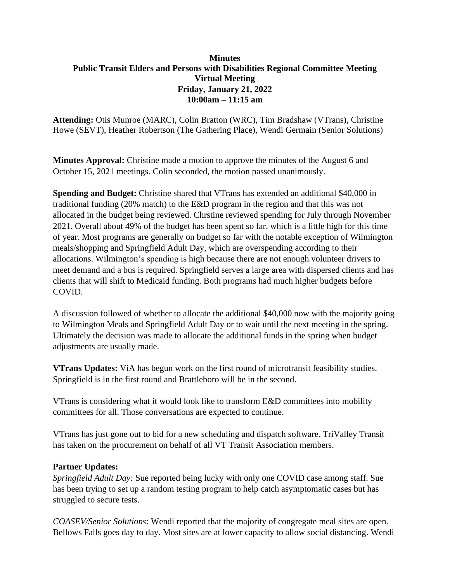## **Minutes Public Transit Elders and Persons with Disabilities Regional Committee Meeting Virtual Meeting Friday, January 21, 2022 10:00am – 11:15 am**

**Attending:** Otis Munroe (MARC), Colin Bratton (WRC), Tim Bradshaw (VTrans), Christine Howe (SEVT), Heather Robertson (The Gathering Place), Wendi Germain (Senior Solutions)

**Minutes Approval:** Christine made a motion to approve the minutes of the August 6 and October 15, 2021 meetings. Colin seconded, the motion passed unanimously.

**Spending and Budget:** Christine shared that VTrans has extended an additional \$40,000 in traditional funding (20% match) to the E&D program in the region and that this was not allocated in the budget being reviewed. Chrstine reviewed spending for July through November 2021. Overall about 49% of the budget has been spent so far, which is a little high for this time of year. Most programs are generally on budget so far with the notable exception of Wilmington meals/shopping and Springfield Adult Day, which are overspending according to their allocations. Wilmington's spending is high because there are not enough volunteer drivers to meet demand and a bus is required. Springfield serves a large area with dispersed clients and has clients that will shift to Medicaid funding. Both programs had much higher budgets before COVID.

A discussion followed of whether to allocate the additional \$40,000 now with the majority going to Wilmington Meals and Springfield Adult Day or to wait until the next meeting in the spring. Ultimately the decision was made to allocate the additional funds in the spring when budget adjustments are usually made.

**VTrans Updates:** ViA has begun work on the first round of microtransit feasibility studies. Springfield is in the first round and Brattleboro will be in the second.

VTrans is considering what it would look like to transform E&D committees into mobility committees for all. Those conversations are expected to continue.

VTrans has just gone out to bid for a new scheduling and dispatch software. TriValley Transit has taken on the procurement on behalf of all VT Transit Association members.

## **Partner Updates:**

*Springfield Adult Day:* Sue reported being lucky with only one COVID case among staff. Sue has been trying to set up a random testing program to help catch asymptomatic cases but has struggled to secure tests.

*COASEV/Senior Solutions*: Wendi reported that the majority of congregate meal sites are open. Bellows Falls goes day to day. Most sites are at lower capacity to allow social distancing. Wendi